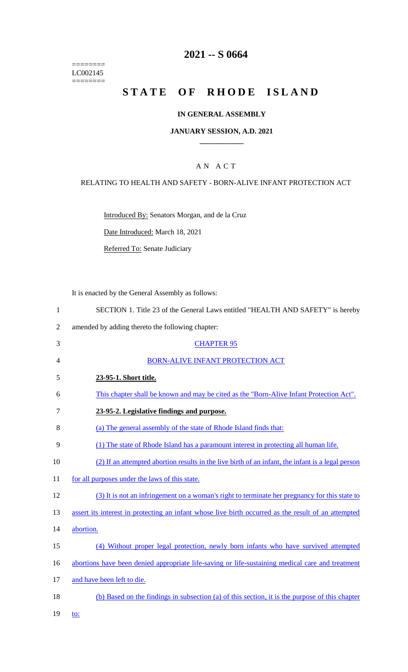======== LC002145  $=$ 

# **2021 -- S 0664**

# **STATE OF RHODE ISLAND**

### **IN GENERAL ASSEMBLY**

#### **JANUARY SESSION, A.D. 2021 \_\_\_\_\_\_\_\_\_\_\_\_**

### A N A C T

### RELATING TO HEALTH AND SAFETY - BORN-ALIVE INFANT PROTECTION ACT

Introduced By: Senators Morgan, and de la Cruz

Date Introduced: March 18, 2021

Referred To: Senate Judiciary

It is enacted by the General Assembly as follows:

| SECTION 1. Title 23 of the General Laws entitled "HEALTH AND SAFETY" is hereby |  |
|--------------------------------------------------------------------------------|--|
|--------------------------------------------------------------------------------|--|

2 amended by adding thereto the following chapter:

| 3  | <b>CHAPTER 95</b>                                                                                   |
|----|-----------------------------------------------------------------------------------------------------|
| 4  | <b>BORN-ALIVE INFANT PROTECTION ACT</b>                                                             |
| 5  | 23-95-1. Short title.                                                                               |
| 6  | This chapter shall be known and may be cited as the "Born-Alive Infant Protection Act".             |
| 7  | 23-95-2. Legislative findings and purpose.                                                          |
| 8  | (a) The general assembly of the state of Rhode Island finds that:                                   |
| 9  | (1) The state of Rhode Island has a paramount interest in protecting all human life.                |
| 10 | (2) If an attempted abortion results in the live birth of an infant, the infant is a legal person   |
| 11 | for all purposes under the laws of this state.                                                      |
| 12 | (3) It is not an infringement on a woman's right to terminate her pregnancy for this state to       |
| 13 | assert its interest in protecting an infant whose live birth occurred as the result of an attempted |
| 14 | abortion.                                                                                           |
| 15 | (4) Without proper legal protection, newly born infants who have survived attempted                 |
| 16 | abortions have been denied appropriate life-saving or life-sustaining medical care and treatment    |
| 17 | and have been left to die.                                                                          |
| 18 | (b) Based on the findings in subsection (a) of this section, it is the purpose of this chapter      |
|    |                                                                                                     |

19 <u>to:</u>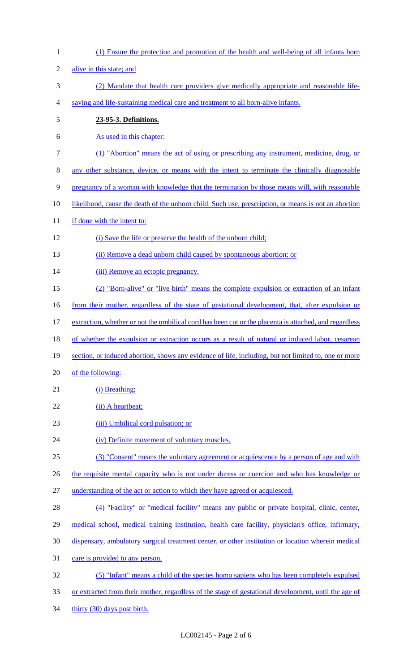| $\mathbf{1}$   | (1) Ensure the protection and promotion of the health and well-being of all infants born               |
|----------------|--------------------------------------------------------------------------------------------------------|
| $\overline{2}$ | alive in this state; and                                                                               |
| 3              | (2) Mandate that health care providers give medically appropriate and reasonable life-                 |
| 4              | saving and life-sustaining medical care and treatment to all born-alive infants.                       |
| $\mathfrak s$  | 23-95-3. Definitions.                                                                                  |
| 6              | As used in this chapter:                                                                               |
| $\overline{7}$ | (1) "Abortion" means the act of using or prescribing any instrument, medicine, drug, or                |
| 8              | any other substance, device, or means with the intent to terminate the clinically diagnosable          |
| 9              | pregnancy of a woman with knowledge that the termination by those means will, with reasonable          |
| 10             | likelihood, cause the death of the unborn child. Such use, prescription, or means is not an abortion   |
| 11             | if done with the intent to:                                                                            |
| 12             | (i) Save the life or preserve the health of the unborn child;                                          |
| 13             | (ii) Remove a dead unborn child caused by spontaneous abortion; or                                     |
| 14             | (iii) Remove an ectopic pregnancy.                                                                     |
| 15             | (2) "Born-alive" or "live birth" means the complete expulsion or extraction of an infant               |
| 16             | from their mother, regardless of the state of gestational development, that, after expulsion or        |
| 17             | extraction, whether or not the umbilical cord has been cut or the placenta is attached, and regardless |
| 18             | of whether the expulsion or extraction occurs as a result of natural or induced labor, cesarean        |
| 19             | section, or induced abortion, shows any evidence of life, including, but not limited to, one or more   |
| 20             | of the following:                                                                                      |
| 21             | (i) Breathing;                                                                                         |
| 22             | (ii) A heartbeat;                                                                                      |
| 23             | (iii) Umbilical cord pulsation; or                                                                     |
| 24             | (iv) Definite movement of voluntary muscles.                                                           |
| 25             | (3) "Consent" means the voluntary agreement or acquiescence by a person of age and with                |
| 26             | the requisite mental capacity who is not under duress or coercion and who has knowledge or             |
| 27             | understanding of the act or action to which they have agreed or acquiesced.                            |
| 28             | (4) "Facility" or "medical facility" means any public or private hospital, clinic, center,             |
| 29             | medical school, medical training institution, health care facility, physician's office, infirmary,     |
| 30             | dispensary, ambulatory surgical treatment center, or other institution or location wherein medical     |
| 31             | care is provided to any person.                                                                        |
| 32             | (5) "Infant" means a child of the species homo sapiens who has been completely expulsed                |
| 33             | or extracted from their mother, regardless of the stage of gestational development, until the age of   |
| 34             | thirty (30) days post birth.                                                                           |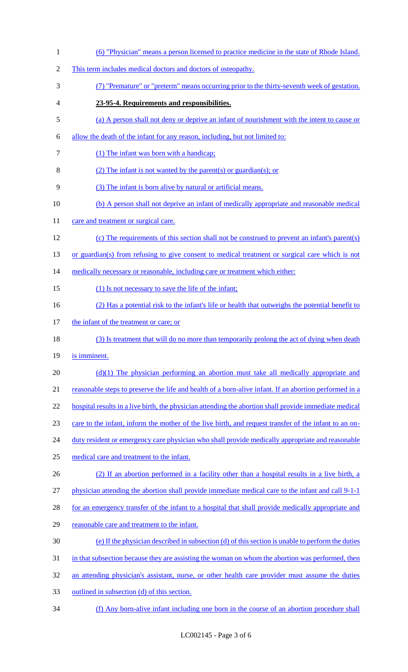| $\mathbf{1}$   | (6) "Physician" means a person licensed to practice medicine in the state of Rhode Island.             |
|----------------|--------------------------------------------------------------------------------------------------------|
| $\overline{2}$ | This term includes medical doctors and doctors of osteopathy.                                          |
| 3              | (7) "Premature" or "preterm" means occurring prior to the thirty-seventh week of gestation.            |
| 4              | 23-95-4. Requirements and responsibilities.                                                            |
| 5              | (a) A person shall not deny or deprive an infant of nourishment with the intent to cause or            |
| 6              | allow the death of the infant for any reason, including, but not limited to:                           |
| 7              | (1) The infant was born with a handicap;                                                               |
| 8              | (2) The infant is not wanted by the parent(s) or guardian(s); or                                       |
| 9              | (3) The infant is born alive by natural or artificial means.                                           |
| 10             | (b) A person shall not deprive an infant of medically appropriate and reasonable medical               |
| 11             | care and treatment or surgical care.                                                                   |
| 12             | (c) The requirements of this section shall not be construed to prevent an infant's parent(s)           |
| 13             | or guardian(s) from refusing to give consent to medical treatment or surgical care which is not        |
| 14             | medically necessary or reasonable, including care or treatment which either:                           |
| 15             | (1) Is not necessary to save the life of the infant;                                                   |
| 16             | (2) Has a potential risk to the infant's life or health that outweighs the potential benefit to        |
| 17             | the infant of the treatment or care; or                                                                |
| 18             | (3) Is treatment that will do no more than temporarily prolong the act of dying when death             |
| 19             | is imminent.                                                                                           |
| 20             | $(d)(1)$ The physician performing an abortion must take all medically appropriate and                  |
| 21             | reasonable steps to preserve the life and health of a born-alive infant. If an abortion performed in a |
| 22             | hospital results in a live birth, the physician attending the abortion shall provide immediate medical |
| 23             | care to the infant, inform the mother of the live birth, and request transfer of the infant to an on-  |
| 24             | duty resident or emergency care physician who shall provide medically appropriate and reasonable       |
| 25             | medical care and treatment to the infant.                                                              |
| 26             | (2) If an abortion performed in a facility other than a hospital results in a live birth, a            |
| 27             | physician attending the abortion shall provide immediate medical care to the infant and call 9-1-1     |
| 28             | for an emergency transfer of the infant to a hospital that shall provide medically appropriate and     |
| 29             | reasonable care and treatment to the infant.                                                           |
| 30             | (e) If the physician described in subsection (d) of this section is unable to perform the duties       |
| 31             | in that subsection because they are assisting the woman on whom the abortion was performed, then       |
| 32             | an attending physician's assistant, nurse, or other health care provider must assume the duties        |
| 33             | outlined in subsection (d) of this section.                                                            |
| 34             | (f) Any born-alive infant including one born in the course of an abortion procedure shall              |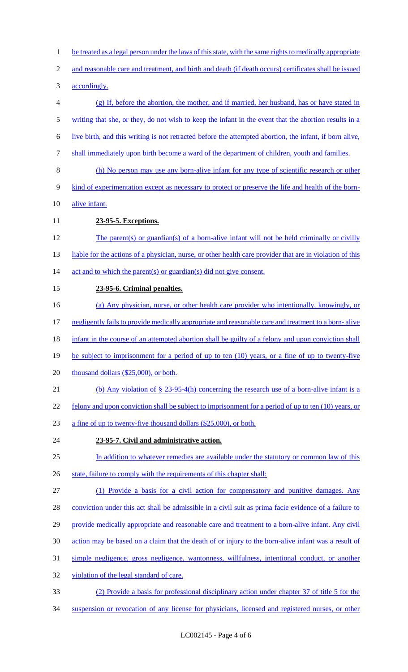- be treated as a legal person under the laws of this state, with the same rights to medically appropriate
- and reasonable care and treatment, and birth and death (if death occurs) certificates shall be issued
- accordingly.
- (g) If, before the abortion, the mother, and if married, her husband, has or have stated in
- 5 writing that she, or they, do not wish to keep the infant in the event that the abortion results in a
- live birth, and this writing is not retracted before the attempted abortion, the infant, if born alive,
- shall immediately upon birth become a ward of the department of children, youth and families.
- (h) No person may use any born-alive infant for any type of scientific research or other
- 9 kind of experimentation except as necessary to protect or preserve the life and health of the born-
- alive infant.
- **23-95-5. Exceptions.**
- The parent(s) or guardian(s) of a born-alive infant will not be held criminally or civilly 13 liable for the actions of a physician, nurse, or other health care provider that are in violation of this 14 act and to which the parent(s) or guardian(s) did not give consent.
- **23-95-6. Criminal penalties.**
- (a) Any physician, nurse, or other health care provider who intentionally, knowingly, or
- negligently fails to provide medically appropriate and reasonable care and treatment to a born- alive
- 18 infant in the course of an attempted abortion shall be guilty of a felony and upon conviction shall
- 19 be subject to imprisonment for a period of up to ten (10) years, or a fine of up to twenty-five
- 20 thousand dollars (\$25,000), or both.
- (b) Any violation of § 23-95-4(h) concerning the research use of a born-alive infant is a
- 22 felony and upon conviction shall be subject to imprisonment for a period of up to ten (10) years, or
- a fine of up to twenty-five thousand dollars (\$25,000), or both.
- **23-95-7. Civil and administrative action.**
- 25 In addition to whatever remedies are available under the statutory or common law of this
- 26 state, failure to comply with the requirements of this chapter shall:
- (1) Provide a basis for a civil action for compensatory and punitive damages. Any
- conviction under this act shall be admissible in a civil suit as prima facie evidence of a failure to
- 29 provide medically appropriate and reasonable care and treatment to a born-alive infant. Any civil
- action may be based on a claim that the death of or injury to the born-alive infant was a result of
- simple negligence, gross negligence, wantonness, willfulness, intentional conduct, or another
- violation of the legal standard of care.
- (2) Provide a basis for professional disciplinary action under chapter 37 of title 5 for the
- suspension or revocation of any license for physicians, licensed and registered nurses, or other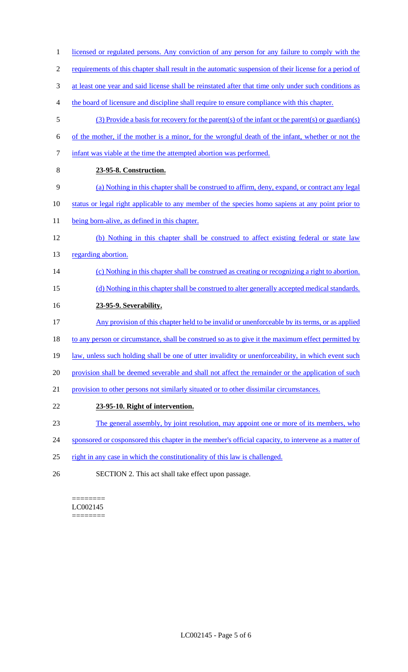- 1 licensed or regulated persons. Any conviction of any person for any failure to comply with the 2 requirements of this chapter shall result in the automatic suspension of their license for a period of 3 at least one year and said license shall be reinstated after that time only under such conditions as 4 the board of licensure and discipline shall require to ensure compliance with this chapter. 5 (3) Provide a basis for recovery for the parent(s) of the infant or the parent(s) or guardian(s) 6 of the mother, if the mother is a minor, for the wrongful death of the infant, whether or not the 7 infant was viable at the time the attempted abortion was performed. 8 **23-95-8. Construction.**  9 (a) Nothing in this chapter shall be construed to affirm, deny, expand, or contract any legal 10 status or legal right applicable to any member of the species homo sapiens at any point prior to 11 being born-alive, as defined in this chapter. 12 (b) Nothing in this chapter shall be construed to affect existing federal or state law 13 regarding abortion. 14 (c) Nothing in this chapter shall be construed as creating or recognizing a right to abortion. 15 (d) Nothing in this chapter shall be construed to alter generally accepted medical standards. 16 **23-95-9. Severability.**  17 Any provision of this chapter held to be invalid or unenforceable by its terms, or as applied 18 to any person or circumstance, shall be construed so as to give it the maximum effect permitted by 19 law, unless such holding shall be one of utter invalidity or unenforceability, in which event such 20 provision shall be deemed severable and shall not affect the remainder or the application of such 21 provision to other persons not similarly situated or to other dissimilar circumstances. 22 **23-95-10. Right of intervention.**  23 The general assembly, by joint resolution, may appoint one or more of its members, who 24 sponsored or cosponsored this chapter in the member's official capacity, to intervene as a matter of
- 25 right in any case in which the constitutionality of this law is challenged.
- 26 SECTION 2. This act shall take effect upon passage.

#### ======== LC002145 ========